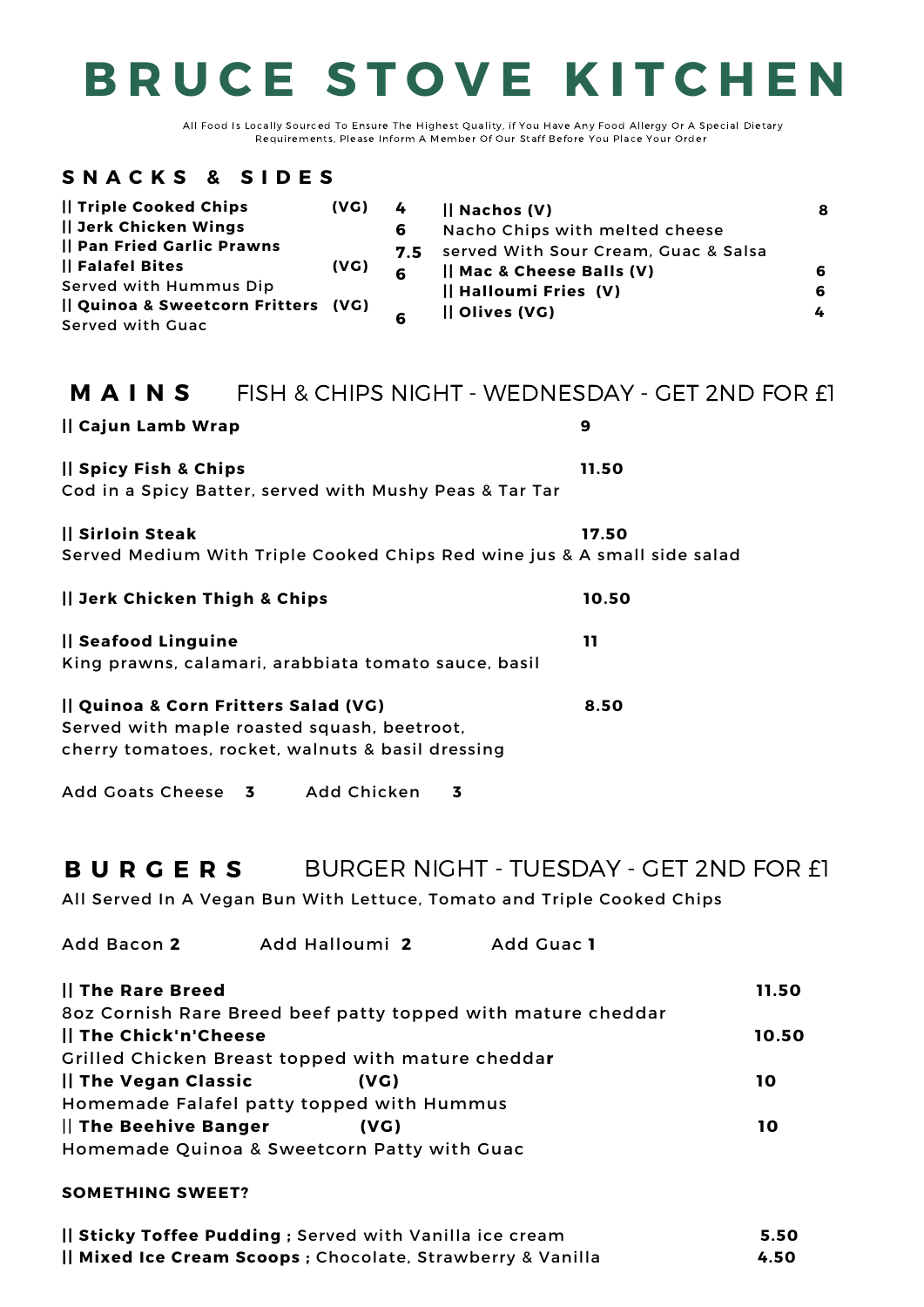| Cajun Lamb Wrap                                                               | 9     |
|-------------------------------------------------------------------------------|-------|
| Spicy Fish & Chips<br>Cod in a Spicy Batter, served with Mushy Peas & Tar Tar | 11.50 |
|                                                                               |       |

### **|| Sirloin Steak 17.50** Served Medium With Triple Cooked Chips Red wine jus & A small side salad

**|| Jerk Chicken Thigh & Chips 10.50**

### **|| Seafood Linguine 11**

King prawns, calamari, arabbiata tomato sauce, basil

**|| Quinoa & Corn Fritters Salad (VG) 8.50** Served with maple roasted squash, beetroot, cherry tomatoes, rocket, walnuts & basil dressing Add Goats Cheese **3** Add Chicken **3** All Served In A Vegan Bun With Lettuce, Tomato and Triple Cooked Chips Add Bacon **2** Add Halloumi **2** Add Guac **1 || The Rare Breed 11.50** 8oz Cornish Rare Breed beef patty topped with mature cheddar **|| The Chick'n'Cheese 10.50** Grilled Chicken Breast topped with mature chedda**r || The Vegan Classic (VG) 10** Homemade Falafel patty topped with Hummus || **The Beehive Banger (VG) 10** Homemade Quinoa & Sweetcorn Patty with Guac **SOMETHING SWEET? || Sticky Toffee Pudding ;** Served with Vanilla ice cream **5.50 B U R G E R S** BURGER NIGHT - TUESDAY - GET 2ND FOR £1

#### **M A I N S** FISH & CHIPS NIGHT - WEDNESDAY - GET 2ND FOR £1

**|| Mixed Ice Cream Scoops ;** Chocolate, Strawberry & Vanilla **4.50**

# **B R U C E S T O V E K I T C H E N**

### **S N A C K S & S I D E S**

| Triple Cooked Chips              | (VG) |          | $\mathsf{II}$ Nachos (V)             | 8 |
|----------------------------------|------|----------|--------------------------------------|---|
| Jerk Chicken Wings               |      | 6        | Nacho Chips with melted cheese       |   |
| Pan Fried Garlic Prawns          |      | 7.5      | served With Sour Cream, Guac & Salsa |   |
| Falafel Bites                    | (VG) | <b>G</b> | Mac & Cheese Balls (V)               | 6 |
| <b>Served with Hummus Dip</b>    |      |          | Halloumi Fries (V)                   | 6 |
| Quinoa & Sweetcorn Fritters (VG) |      |          | <b>Il Olives (VG)</b>                | 4 |
| <b>Served with Guac</b>          |      |          |                                      |   |

All Food Is Locally Sourced To Ensure The Highest Quality, if You Have Any Food Allergy Or A Special Dietary Requirements, Please Inform A Member Of Our Staff Before You Place Your Order